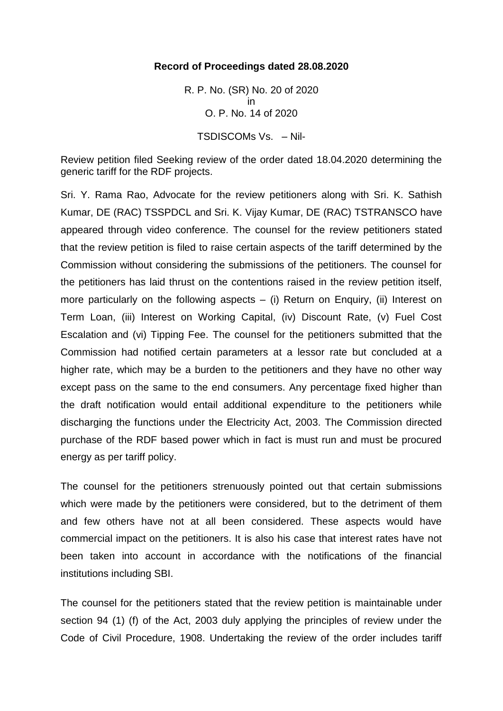## **Record of Proceedings dated 28.08.2020**

R. P. No. (SR) No. 20 of 2020 in O. P. No. 14 of 2020 TSDISCOMs Vs. – Nil-

Review petition filed Seeking review of the order dated 18.04.2020 determining the generic tariff for the RDF projects.

Sri. Y. Rama Rao, Advocate for the review petitioners along with Sri. K. Sathish Kumar, DE (RAC) TSSPDCL and Sri. K. Vijay Kumar, DE (RAC) TSTRANSCO have appeared through video conference. The counsel for the review petitioners stated that the review petition is filed to raise certain aspects of the tariff determined by the Commission without considering the submissions of the petitioners. The counsel for the petitioners has laid thrust on the contentions raised in the review petition itself, more particularly on the following aspects  $-$  (i) Return on Enquiry, (ii) Interest on Term Loan, (iii) Interest on Working Capital, (iv) Discount Rate, (v) Fuel Cost Escalation and (vi) Tipping Fee. The counsel for the petitioners submitted that the Commission had notified certain parameters at a lessor rate but concluded at a higher rate, which may be a burden to the petitioners and they have no other way except pass on the same to the end consumers. Any percentage fixed higher than the draft notification would entail additional expenditure to the petitioners while discharging the functions under the Electricity Act, 2003. The Commission directed purchase of the RDF based power which in fact is must run and must be procured energy as per tariff policy.

The counsel for the petitioners strenuously pointed out that certain submissions which were made by the petitioners were considered, but to the detriment of them and few others have not at all been considered. These aspects would have commercial impact on the petitioners. It is also his case that interest rates have not been taken into account in accordance with the notifications of the financial institutions including SBI.

The counsel for the petitioners stated that the review petition is maintainable under section 94 (1) (f) of the Act, 2003 duly applying the principles of review under the Code of Civil Procedure, 1908. Undertaking the review of the order includes tariff